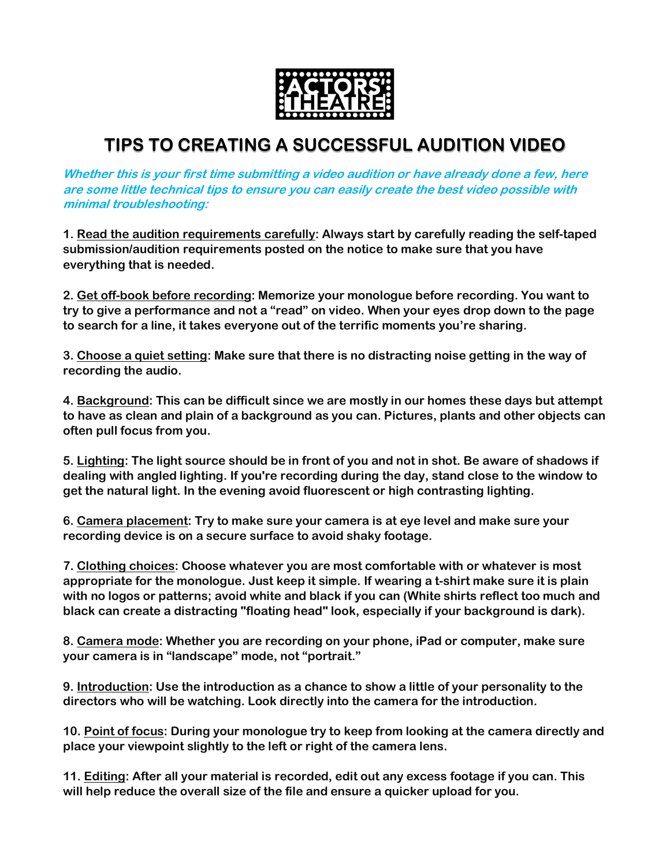

## **TIPS TO CREATING A SUCCESSFUL AUDITION VIDEO**

**Whether this is your first time submitting a video audition or have already done a few, here are some little technical tips to ensure you can easily create the best video possible with minimal troubleshooting:**

**1. Read the audition requirements carefully: Always start by carefully reading the self-taped submission/audition requirements posted on the notice to make sure that you have everything that is needed.**

**2. Get off-book before recording: Memorize your monologue before recording. You want to try to give a performance and not a "read" on video. When your eyes drop down to the page to search for a line, it takes everyone out of the terrific moments you're sharing.**

**3. Choose a quiet setting: Make sure that there is no distracting noise getting in the way of recording the audio.** 

**4. Background: This can be difficult since we are mostly in our homes these days but attempt to have as clean and plain of a background as you can. Pictures, plants and other objects can often pull focus from you.**

**5. Lighting: The light source should be in front of you and not in shot. Be aware of shadows if dealing with angled lighting. If you're recording during the day, stand close to the window to get the natural light. In the evening avoid fluorescent or high contrasting lighting.** 

**6. Camera placement: Try to make sure your camera is at eye level and make sure your recording device is on a secure surface to avoid shaky footage.**

**7. Clothing choices: Choose whatever you are most comfortable with or whatever is most appropriate for the monologue. Just keep it simple. If wearing a t-shirt make sure it is plain with no logos or patterns; avoid white and black if you can (White shirts reflect too much and black can create a distracting "floating head" look, especially if your background is dark).**

**8. Camera mode: Whether you are recording on your phone, iPad or computer, make sure your camera is in "landscape" mode, not "portrait."**

**9. Introduction: Use the introduction as a chance to show a little of your personality to the directors who will be watching. Look directly into the camera for the introduction.**

**10. Point of focus: During your monologue try to keep from looking at the camera directly and place your viewpoint slightly to the left or right of the camera lens.**

**11. Editing: After all your material is recorded, edit out any excess footage if you can. This will help reduce the overall size of the file and ensure a quicker upload for you.**